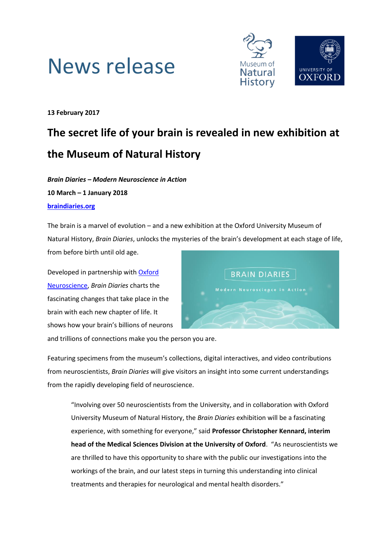



**13 February 2017**

# **The secret life of your brain is revealed in new exhibition at the Museum of Natural History**

*Brain Diaries – Modern Neuroscience in Action* **10 March – 1 January 2018 [braindiaries.org](http://www.braindiaries.org/)**

The brain is a marvel of evolution – and a new exhibition at the Oxford University Museum of Natural History, *Brain Diaries*, unlocks the mysteries of the brain's development at each stage of life, from before birth until old age.

Developed in partnership with [Oxford](https://www.neuroscience.ox.ac.uk/)  [Neuroscience,](https://www.neuroscience.ox.ac.uk/) *Brain Diaries* charts the fascinating changes that take place in the brain with each new chapter of life. It shows how your brain's billions of neurons



and trillions of connections make you the person you are.

Featuring specimens from the museum's collections, digital interactives, and video contributions from neuroscientists, *Brain Diaries* will give visitors an insight into some current understandings from the rapidly developing field of neuroscience.

"Involving over 50 neuroscientists from the University, and in collaboration with Oxford University Museum of Natural History, the *Brain Diaries* exhibition will be a fascinating experience, with something for everyone," said **Professor Christopher Kennard, interim head of the Medical Sciences Division at the University of Oxford**. "As neuroscientists we are thrilled to have this opportunity to share with the public our investigations into the workings of the brain, and our latest steps in turning this understanding into clinical treatments and therapies for neurological and mental health disorders."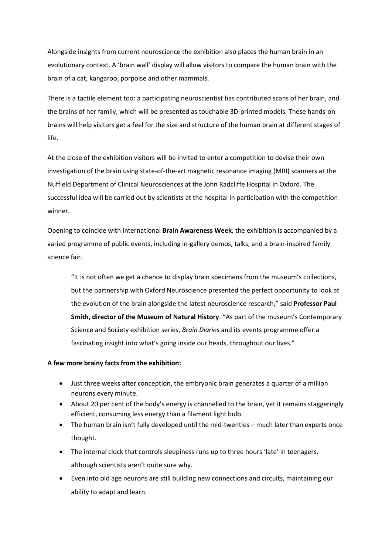Alongside insights from current neuroscience the exhibition also places the human brain in an evolutionary context. A 'brain wall' display will allow visitors to compare the human brain with the brain of a cat, kangaroo, porpoise and other mammals.

There is a tactile element too: a participating neuroscientist has contributed scans of her brain, and the brains of her family, which will be presented as touchable 3D-printed models. These hands-on brains will help visitors get a feel for the size and structure of the human brain at different stages of life.

At the close of the exhibition visitors will be invited to enter a competition to devise their own investigation of the brain using state-of-the-art magnetic resonance imaging (MRI) scanners at the Nuffield Department of Clinical Neurosciences at the John Radcliffe Hospital in Oxford. The successful idea will be carried out by scientists at the hospital in participation with the competition winner.

Opening to coincide with international **Brain Awareness Week**, the exhibition is accompanied by a varied programme of public events, including in-gallery demos, talks, and a brain-inspired family science fair.

"It is not often we get a chance to display brain specimens from the museum's collections, but the partnership with Oxford Neuroscience presented the perfect opportunity to look at the evolution of the brain alongside the latest neuroscience research," said **Professor Paul Smith, director of the Museum of Natural History**. "As part of the museum's Contemporary Science and Society exhibition series, *Brain Diaries* and its events programme offer a fascinating insight into what's going inside our heads, throughout our lives."

## **A few more brainy facts from the exhibition:**

- Just three weeks after conception, the embryonic brain generates a quarter of a million neurons every minute.
- About 20 per cent of the body's energy is channelled to the brain, yet it remains staggeringly efficient, consuming less energy than a filament light bulb.
- The human brain isn't fully developed until the mid-twenties much later than experts once thought.
- The internal clock that controls sleepiness runs up to three hours 'late' in teenagers, although scientists aren't quite sure why.
- Even into old age neurons are still building new connections and circuits, maintaining our ability to adapt and learn.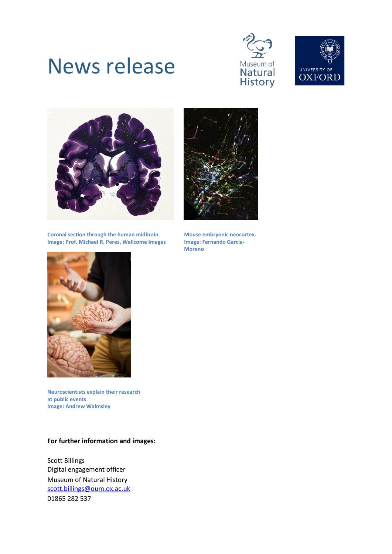# News release







**Coronal section through the human midbrain. Image: Prof. Michael R. Peres, Wellcome Images**



**Mouse embryonic neocortex. Image: Fernando García-Moreno**



**Neuroscientists explain their research at public events Image: Andrew Walmsley**

## **For further information and images:**

Scott Billings Digital engagement officer Museum of Natural History [scott.billings@oum.ox.ac.uk](mailto:scott.billings@oum.ox.ac.uk) 01865 282 537